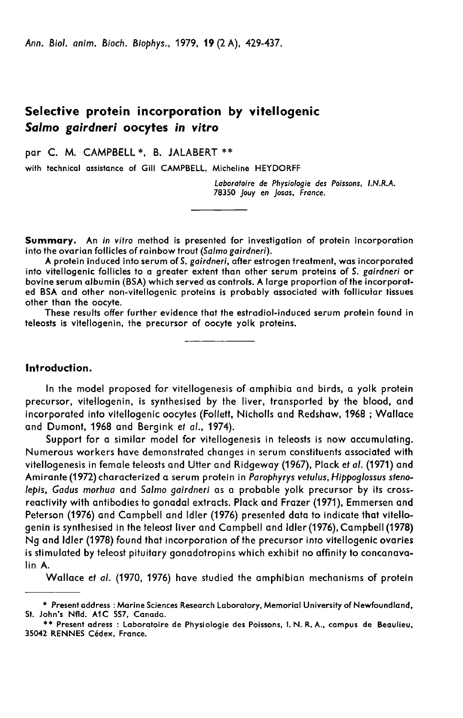Ann. Biol. anim. Bioch. Biophys., 1979, 19 (2 A), 429-437.

# Selective protein incorporation by vitellogenic Salmo gairdneri oocytes in vitro

par C. M. CAMPBELL \*. B. JALABERT \*\*

with technical assistance of Gill CAMPBELL, Micheline HEYDORFF

Laboratoire de Physiologie des Poissons, LN.R.A. 78350 Jouy en Josas, France.

Summary. An in vitro method is presented for investigation of protein incorporation into the ovarian follicles of rainbow trout (Salmo gairdneri).

A protein induced into serum of S, gairdneri, after estrogen treatment, was incorporated into vitellogenic follicles to a greater extent than other serum proteins of S. gairdneri or bovine serum albumin (BSA) which served as controls. A large proportion of the incorporated BSA and other non-vitellogenic proteins is probably associated with follicular tissues other than the oocyte.

These results offer further evidence that the estradiol-induced serum protein found in teleosts is vitellogenin, the precursor of oocyte yolk proteins.

#### Introduction.

In the model proposed for vitellogenesis of amphibia and birds, a yolk protein precursor, vitellogenin, is synthesised by the liver, transported by the blood, and incorporated into vitellogenic oocytes (Follett, Nicholls and Redshaw, 1968 ; Wallace and Dumont, 1968 and Bergink et al., 1974).

Support for a similar model for vitellogenesis in teleosts is now accumulating. Numerous workers have demonstrated changes in serum constituents associated with vitellogenesis in female teleosts and Utter and Ridgeway (1967), Plack et al. (1971) and Amirante (1972) characterized a serum protein in Parophyrys vetulus, Hippoglossus stenolepis, Gadus morhua and Salmo gairdneri as a probable yolk precursor by its crossreactivity with antibodies to gonadal extracts. Plack and Frazer (1971), Emmersen and Peterson (1976) and Campbell and Idler (1976) presented data to indicate that vitellogenin is synthesised in the teleost liver and Campbell and Idler(1976), Campbell (1978) Ng and Idler (1978) found that incorporation of the precursor into vitellogenic ovaries is stimulated by teleost pituitary gonadotropins which exhibit no affinity to concanavalin A.

Wallace et al. (1970, 1976) have studied the amphibian mechanisms of protein

<sup>\*</sup> Present address : Marine Sciences Research Laboratory, Memorial University of Newfoundland,<br>St. John's Nfld. A1C 557, Canada.<br>\*\* Present adress : Laboratoire de Physiologie des Poissons, I. N. R. A., campus de Beaulieu,<br>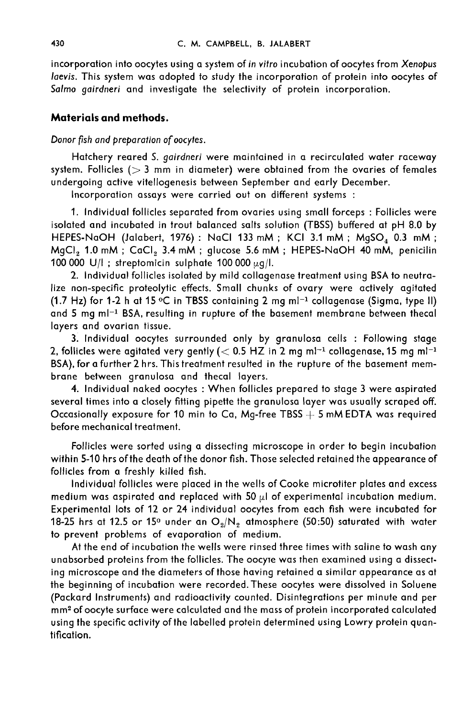incorporation into oocytes using a system of in vitro incubation of oocytes from Xenopus laevis. This system was adopted to study the incorporation of protein into oocytes of Salmo gairdneri and investigate the selectivity of protein incorporation.

## Materials and methods.

### Donor fish and preparation of oocytes.

Hatchery reared S. gairdneri were maintained in a recirculated water raceway system. Follicles ( $> 3$  mm in diameter) were obtained from the ovaries of females undergoing active vitellogenesis between September and early December.

Incorporation assays were carried out on different systems :

1. Individual follicles separated from ovaries using small forceps : Follicles were isolated and incubated in trout balanced salts solution (TBSS) buffered at pH 8.0 by 1. Individual follicles separated from ovaries using small forceps : Follicles were<br>isolated and incubated in trout balanced salts solution (TBSS) buffered at pH 8.0 by<br>HEPES-NaOH (Jalabert, 1976) : NaCl 133 mM ; KCI 3.1 m isolated and incubated in trout balanced salts solution (TBSS) buffered at pH 8.0 by<br>HEPES-NaOH (Jalabert, 1976) : NaCl 133 mM ; KCl 3.1 mM ; MgSO<sub>4</sub> 0.3 mM ;<br>MgCl<sub>2</sub> 1.0 mM ; CaCl<sub>2</sub> 3.4 mM ; glucose 5.6 mM ; HEPES-NaOH 4 100 000 U/I ; streptomicin sulphate 100 000  $\mu$ g/I.

2. Individual follicles isolated by mild collagenase treatment using BSA to neutralize non-specific proteolytic effects. Small chunks of ovary were actively agitated (1.7 Hz) for 1-2 h at 15 °C in TBSS containing 2 mg ml<sup>-1</sup> collagenase (Sigma, type II)<br>and 5 mg ml<sup>-1</sup> BSA, resulting in rupture of the basement membrane between thecal layers and ovarian tissue.

3. Individual oocytes surrounded only by granulosa cells : Following stage 2, follicles were agitated very gently ( $<$  0.5 HZ in 2 mg ml<sup>-1</sup> collagenase, 15 mg ml<sup>-1</sup> BSA), for a further 2 hrs. This treatment resulted in the rupture of the basement membrane between granulosa and thecal layers.

4. Individual naked oocytes : When follicles prepared to stage 3 were aspirated several times into a closely fitting pipette the granulosa layer was usually scraped off. Occasionally exposure for 10 min to Ca, Mg-free TBSS  $+5$  mM EDTA was required before mechanical treatment.

Follicles were sorted using a dissecting microscope in order to begin incubation within 5-10 hrs of the death of the donor fish. Those selected retained the appearance of follicles from a freshly killed fish.

Individual follicles were placed in the wells of Cooke microtiter plates and excess medium was aspirated and replaced with 50  $\mu$ l of experimental incubation medium. Experimental lots of 12 or 24 individual oocytes from each fish were incubated for 18-25 hrs at 12.5 or 15° under an  $O_2/N_2$  atmosphere (50:50) saturated with water to prevent problems of evaporation of medium.

At the end of incubation the wells were rinsed three times with saline to wash any unabsorbed proteins from the follicles. The oocyie was then examined using a dissecting microscope and the diameters of those having retained a similar appearance as at the beginning of incubation were recorded. These oocytes were dissolved in Soluene (Packard Instruments) and radioactivity counted. Disintegrations per minute and per mm2of oocyte surface were calculated and the mass of protein incorporated calculated using the specific activity of the labelled protein determined using Lowry protein quantification.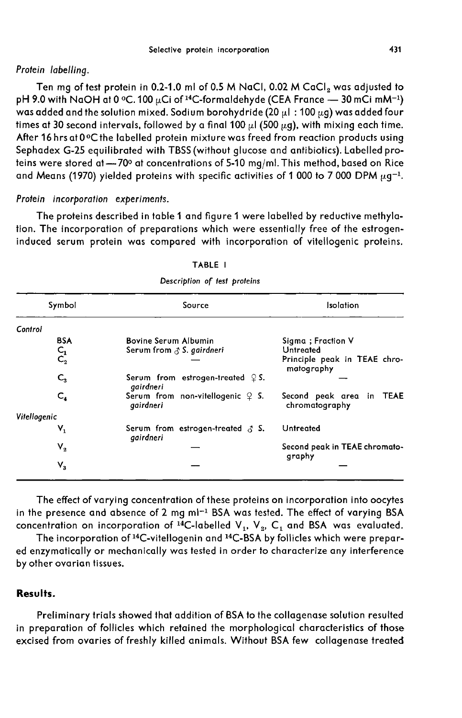#### Protein labelling.

Ten mg of test protein in 0.2-1.0 ml of 0.5 M NaCl, 0.02 M CaCl<sub>2</sub> was adjusted to Frotein labelling.<br>
Protein labelling.<br>
Ten mg of test protein in 0.2-1.0 ml of 0.5 M NaCl, 0.02 M CaCl<sub>2</sub> was adjusted to<br>
pH 9.0 with NaOH at 0 °C. 100  $\mu$ Ci of <sup>14</sup>C-formaldehyde (CEA France -- 30 mCi mM<sup>-1</sup>)<br>
was add times at 30 second intervals, followed by a final 100  $\mu$ 1 (500  $\mu$ g), with mixing each time. After 16 hrs at 0 °C the labelled protein mixture was freed from reaction products using Sephadex G-25 equilibrated with TBSS (without glucose and antibiotics). Labelled proteins were stored at  $-70$ ° at concentrations of 5-10 mg/ml. This method, based on Rice<br>and Means (1970) yielded proteins with specific activities of 1 000 to 7 000 DPM  $\mu$ g<sup>-1</sup>.

#### Protein incorporation experiments.

The proteins described in table 1 and figure 1 were labelled by reductive methylation. The incorporation of preparations which were essentially free of the estrogeninduced serum protein was compared with incorporation of vitellogenic proteins.

| Symbol                  | Source                                                    | Isolation                                  |  |  |  |
|-------------------------|-----------------------------------------------------------|--------------------------------------------|--|--|--|
| Control                 |                                                           |                                            |  |  |  |
| <b>BSA</b>              | <b>Bovine Serum Albumin</b>                               | Sigma ; Fraction V                         |  |  |  |
|                         | Serum from $\triangle$ S. gairdneri                       | Untreated                                  |  |  |  |
| $C_1$ <sub>2</sub>      |                                                           | Principle peak in TEAE chro-<br>matography |  |  |  |
| $C_{3}$                 | Serum from estrogen-treated $\mathcal{Q}$ S.<br>gairdneri |                                            |  |  |  |
| $\mathsf{C}_4$          | Serum from non-vitellogenic $\varphi$ S.<br>gairdneri     | Second peak area in TEAE<br>chromatography |  |  |  |
| Vitellogenic            |                                                           |                                            |  |  |  |
| $\mathsf{V}_\mathsf{1}$ | Serum from estrogen-treated $\beta$ S.<br>gairdneri       | Untreated                                  |  |  |  |
| $\mathsf{V}_2$          |                                                           | Second peak in TEAE chromato-<br>graphy    |  |  |  |
| $\mathsf{V}_\mathsf{3}$ |                                                           |                                            |  |  |  |

TARIF I

Description of test proteins

The effect of varying concentration of these proteins on incorporation into oocytes in the presence and absence of 2 mg ml<sup>-1</sup> BSA was tested. The effect of varying BSA The effect of varying concentration of these proteins on incorporation into oocytes<br>in the presence and absence of 2 mg ml<sup>-1</sup> BSA was tested. The effect of varying BSA<br>concentration on incorporation of <sup>14</sup>C-labelled V<sub>1</sub>

ed enzymatically or mechanically was tested in order to characterize any interference by other ovarian tissues.

# Results.

Preliminary trials showed that addition of BSA to the collagenase solution resulted in preparation of follicles which retained the morphological characteristics of those excised from ovaries of freshly killed animals. Without BSA few collagenase treated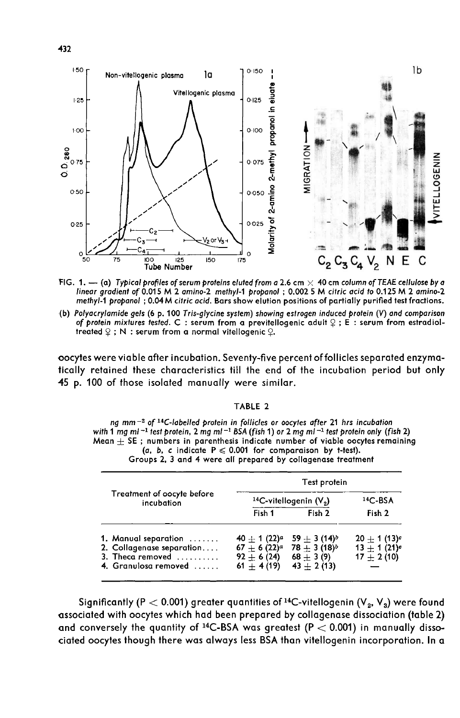

FIG. 1. - (a) Typical profiles of serum proteins eluted from a 2.6 cm  $\times$  40 cm column of TEAE cellulose by a linear gradient of 0.015 M 2 amino-2 methyl-1 propanol; 0.002 5 M citric acid to 0.125 M 2 amino-2 methyl-1 propanol; 0.04 M citric acid. Bars show elution positions of partially purified test fractions.

(b) Polyacrylamide gels (6 p. 100 Tris-glycine system) showing estrogen induced protein (V) and comparison of protein mixtures tested. C : serum from a previtellogenic adult  $\varphi$  ; E : serum from estradioltreated  $\mathcal{Q}$ ; N : serum from a normal vitellogenic  $\mathcal{Q}$ .

oocytes were viable after incubation. Seventy-five percent of follicles separated enzymatically retained these characteristics till the end of the incubation period but only 45 p. 100 of those isolated manually were similar.

#### TABLE 2

ng mm<sup>-2</sup> of <sup>14</sup>C-labelled protein in follicles or oocytes after 21 hrs incubation with 1 mg ml  $^{-1}$  test protein, 2 mg ml  $^{-1}$  BSA (fish 1) or 2 mg ml  $^{-1}$  test protein only (fish 2) Mean  $\pm$  SE; numbers in parenthesis indicate number of viable oocytes remaining (a, b, c indicate  $P \le 0.001$  for comparaison by t-test). Groups 2, 3 and 4 were all prepared by collagenase treatment

|                                                                                                        | Test protein                                                     |                                                                |                                                   |  |  |  |
|--------------------------------------------------------------------------------------------------------|------------------------------------------------------------------|----------------------------------------------------------------|---------------------------------------------------|--|--|--|
| Treatment of oocyte before<br>incubation                                                               | <sup>14</sup> C-vitellogenin $(V_2)$                             | $14C-BSA$                                                      |                                                   |  |  |  |
|                                                                                                        | Fish 1                                                           | Fish 2                                                         | Fish 2                                            |  |  |  |
| 1. Manual separation<br>2. Collagenase separation<br>3. Theca removed $\ldots$<br>4. Granulosa removed | $40 + 1(22)^a$<br>$67 + 6(22)^a$<br>$92 + 6(24)$<br>$61 + 4(19)$ | $59 + 3(14)b$<br>$78 + 3(18)^b$<br>$68 + 3(9)$<br>$43 + 2(13)$ | $20 + 1(13)^c$<br>$13 + 1(21)e$<br>$17 \pm 2(10)$ |  |  |  |

Significantly (P < 0.001) greater quantities of 14C-vitellogenin (V2, V3) were found associated with oocytes which had been prepared by collagenase dissociation (table 2) and conversely the quantity of i4C-BSA was greatest (P < 0.001) in manually dissociated oocytes though there was always less BSA than vitellogenin incorporation. In a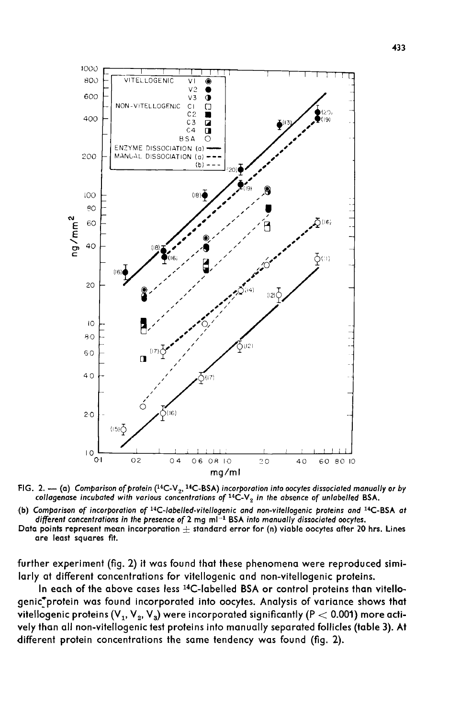

FIG. 2. -- (a) Comparison of protein (<sup>14</sup>C-V<sub>2</sub>, <sup>14</sup>C-BSA) incorporation into oocytes dissociated manually or by collagenase incubated with various concentrations of <sup>14</sup>C-V<sub>2</sub> in the absence of unlabelled BSA.

(b) Comparison of incorporation of <sup>14</sup>C-labelled-vitellogenic and non-vitellogenic proteins and <sup>14</sup>C-BSA at different concentrations in the presence of 2 mg ml<sup>-1</sup> BSA into manually dissociated oocytes.

Data points represent mean incorporation  $\pm$  standard error for (n) viable oocytes after 20 hrs. Lines are least squares fit.

further experiment (fig. 2) it was found that these phenomena were reproduced similarly at different concentrations for vitellogenic and non-vitellogenic proteins.

In each of the above cases less 14C-labelled BSA or control proteins than vitellogenic'protein was found incorporated into oocytes. Analysis of variance shows that vitellogenic proteins (V<sub>1</sub>, V<sub>2</sub>, V<sub>3</sub>) were incorporated significantly (P  $<$  0.001) more actively than all non-vitellogenic test proteins into manually separated follicles (table 3). At different protein concentrations the same tendency was found (fig. 2).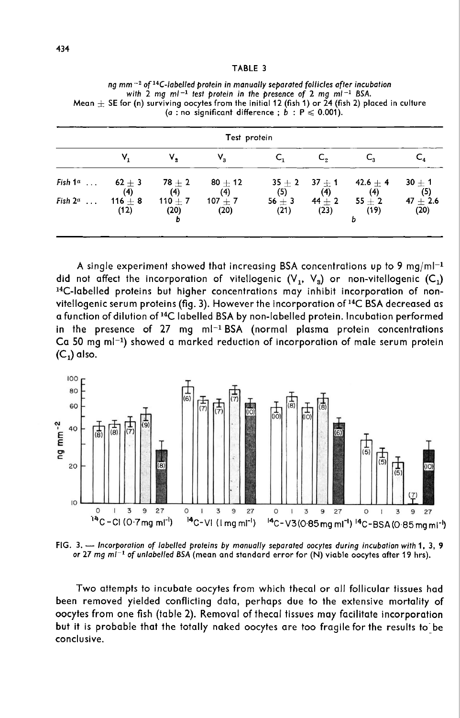| TABLE |  |  |  |  |  |
|-------|--|--|--|--|--|
|-------|--|--|--|--|--|

| ng mm <sup>-2</sup> of <sup>14</sup> C-labelled protein in manually separated follicles after incubation |  |  |  |
|----------------------------------------------------------------------------------------------------------|--|--|--|
| with 2 mg ml <sup>-1</sup> test protein in the presence of 2 mg ml <sup>-1</sup> BSA.                    |  |  |  |
| Mean $+$ SE for (n) surviving oocytes from the initial 12 (fish 1) or 24 (fish 2) placed in culture      |  |  |  |
| (a : no significant difference ; b : $P \le 0.001$ ).                                                    |  |  |  |

| Test protein |                     |                   |                     |                    |                    |                                     |                    |
|--------------|---------------------|-------------------|---------------------|--------------------|--------------------|-------------------------------------|--------------------|
|              | ۷,                  | ٧,                | v,                  |                    | C.                 |                                     | $\mathsf{C}_4$     |
| Fish $1^a$   | $62+3$<br>(4)       | 78 $\pm$ 2<br>(4) | $80 + 12$<br>(4)    | (5)                | (4)                | $35 + 2$ $37 + 1$ $42.6 + 4$<br>(4) | $30 + 1$<br>(5)    |
| Fish $2^a$   | 116 $\pm$ 8<br>(12) | 110 $+ 7$<br>(20) | 107 $\pm$ 7<br>(20) | $56 \pm 3$<br>(21) | $44 \pm 2$<br>(23) | $55 + 2$<br>(19)                    | $47 + 2.6$<br>(20) |
|              |                     |                   |                     |                    |                    |                                     |                    |

A single experiment showed that increasing BSA concentrations up to 9 mg/ml<sup>-1</sup><br>did not affect the incorporation of vitellogenic  $(V_1, V_3)$  or non-vitellogenic  $(C_1)$ <br><sup>14</sup>C-labelled proteins but higher concentrations may A single experiment did not affect the incorporation of vitellogenic  $(V_1, V_3)$  or non-vitellogenic  $(C_1)$ <br><sup>14</sup>C-labelled proteins but higher concentrations may inhibit incorporation of non-<br>vitellogenic serum proteins (fig. 3). However the <sup>14</sup>C-labelled proteins but higher concentrations may inhibit incorporation of non-<br>vitellogenic serum proteins (fig. 3). However the incorporation of <sup>14</sup>C BSA decreased as<br>a function of dilution of <sup>14</sup>C labelled BSA by  $^{14}$ C-labelled proteins but higher concentrations may inhibit incorporation of non-<br>vitellogenic serum proteins (fig. 3). However the incorporation of <sup>14</sup>C BSA decreased as<br>a function of dilution of <sup>14</sup>C labelled BSA In the presence of 27 mg ml<sup>-1</sup> BSA (normal plasma protein concentrations<br>Ca 50 mg ml<sup>-1</sup>) showed a marked reduction of incorporation of male serum protein<br>C ) also Ca 50 mg ml<sup>-1</sup>) showed a marked reduction of incorporation of male serum protein  $(C_1)$  also.



FIG. 3.  $-$  Incorporation of labelled proteins by manually separated oocytes during incubation with 1, 3, 9 or 27 mg  $mi^{-1}$  of unlabelled BSA (mean and standard error for  $(N)$  viable occytes after 19 hrs).

Two attempts to incubate oocytes from which thecal or all follicular tissues had been removed yielded conflicting data, perhaps due to the extensive mortality of oocytes from one fish (table 2). Removal of thecal tissues may facilitate incorporation but it is probable that the totally naked oocytes are too fragile for the results to be conclusive.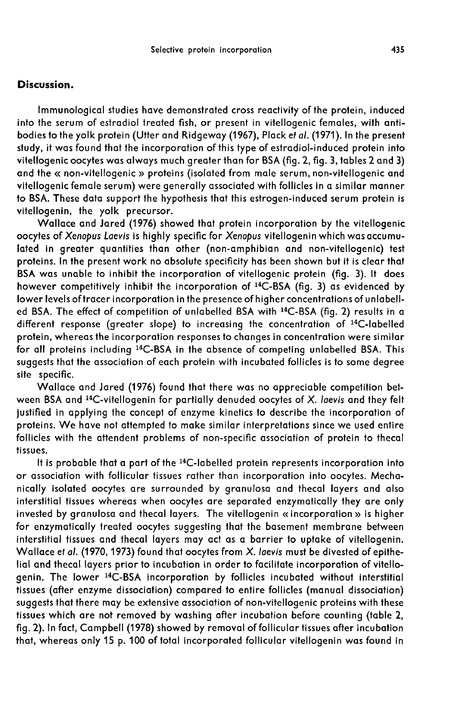#### Discussion.

Immunological studies have demonstrated cross reactivity of the protein, induced into the serum of estradiol treated fish, or present in vitellogenic females, with antibodies to the yolk protein (Utter and Ridgeway (1967), Plack et al. (1971). In the present study, it was found that the incorporation of this type of estradiol-induced protein into vitellogenic oocytes was always much greater than for BSA (fig. 2, fig. 3, tables 2 and 3) and the « non-vitellogenic » proteins (isolated from male serum, non-vitellogenic and vitellogenic female serum) were generally associated with follicles in a similar manner to BSA. These data support the hypothesis that this estrogen-induced serum protein is vitellogenin, the yolk precursor.

Wallace and Jared (1976) showed that protein incorporation by the vitellogenic oocytes of Xenopus Laevis is highly specific for Xenopus vitellogenin which was accumulated in greater quantities than other (non-amphibian and non-vitellogenic) test proteins. In the present work no absolute specificity has been shown but it is clear that BSA was unable to inhibit the incorporation of vitellogenic protein (fig. 3). It does however competitively inhibit the incorporation of <sup>14</sup>C-BSA (fig. 3) as evidenced by lower levels oftracer incorporation in the presence of higher concentrations of unlabelllower levels of tracer incorporation in the presence of higher concentrations of unlabelled<br>ed BSA. The effect of competition of unlabelled BSA with <sup>14</sup>C-BSA (fig. 2) results in a<br>different response (greater slope) to inc protein, whereas the incorporation responses to changes in concentration were similar for all proteins including <sup>14</sup>C-BSA in the absence of competing unlabelled BSA. This suggests that the association of each protein with incubated follicles is to some degree site specific.

Wallace and Jared (1976) found that there was no appreciable competition between BSA and  $^{14}$ C-vitellogenin for partially denuded oocytes of X. laevis and they felt suggests that the association of each protein with incubated tollicles is to some degree<br>site specific.<br>Wallace and Jared (1976) found that there was no appreciable competition bet-<br>ween BSA and <sup>14</sup>C-vitellogenin for part proteins. We have not attempted to make similar interpretations since we used entire follicles with the attendent problems of non-specific association of protein to thecal tissues.

It is probable that a part of the 14C-labelled protein represents incorporation into or association with follicular tissues rather than incorporation into oocytes. Mechanically isolated oocytes are surrounded by granulosa and thecal layers and also interstitial tissues whereas when oocytes are separated enzymatically they are only invested by granulosa and thecal layers. The vitellogenin «incorporation » is higher for enzymatically treated oocytes suggesting that the basement membrane between interstitial tissues and thecal layers may act as a barrier to uptake of vitellogenin. Wallace et al. (1970, 1973) found that oocytes from X. laevis must be divested of epithelial and thecal layers prior to incubation in order to facilitate incorporation of vitellogenin. The lower 14C-BSA incorporation by follicles incubated without interstitial tissues (after enzyme dissociation) compared to entire follicles (manual dissociation) suggests that there may be extensive association of non-vitellogenic proteins with these tissues which are not removed by washing after incubation before counting (table 2, fig. 2). In fact, Campbell (1978) showed by removal of follicular tissues after incubation that, whereas only 15 p. 100 of total incorporated follicular vitellogenin was found in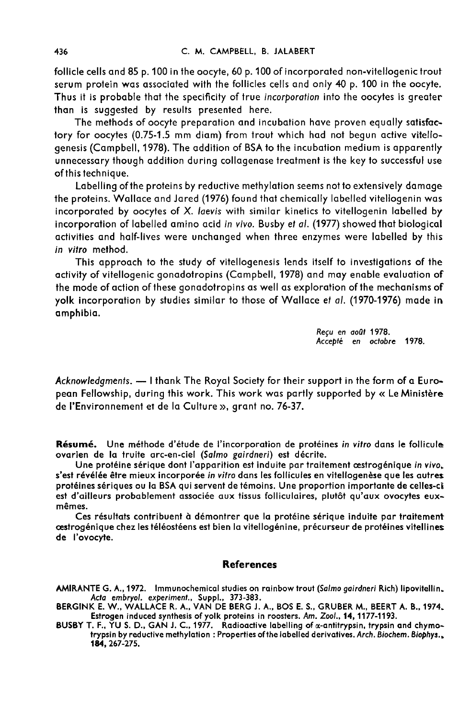follicle cells and 85 p. 100 in the oocyte, 60 p. 100 of incorporated non-vitellogenic trout serum protein was associated with the follicles cells and only 40 p. 100 in the oocyte. Thus it is probable that the specificity of true incorporation into the oocytes is greater than is suggested by results presented here.

The methods of oocyte preparation and incubation have proven equally satisfactory for oocytes (0.75-1.5 mm diam) from trout which had not begun active vitellogenesis (Campbell, 1978). The addition of BSA to the incubation medium is apparently unnecessary though addition during collagenase treatment is the key to successful use of this technique.

Labelling of the proteins by reductive methylation seems not to extensively damage the proteins. Wallace and Jared (1976) found that chemically labelled vitellogenin was incorporated by oocytes of X. laevis with similar kinetics to vitellogenin labelled by incorporation of labelled amino acid in vivo. Busby et al. (1977) showed that biological activities and half-lives were unchanged when three enzymes were labelled by this in vitro method.

This approach to the study of vitellogenesis lends itself to investigations of the activity of vitellogenic gonadotropins (Campbell, 1978) and may enable evaluation of the mode of action of these gonadotropins as well as exploration of the mechanisms of yolk incorporation by studies similar to those of Wallace et al. (1970-1976) made in amphibia.

> Reçu en août 1978. Accept6 en octobre 1978.

Acknowledaments. - I thank The Royal Society for their support in the form of a European Fellowship, during this work. This work was partly supported by « Le Ministere de I'Environnement et de la Culture », grant no. 76-37.

Résumé. Une méthode d'étude de l'incorporation de protéines in vitro dans le follicule ovarien de la truite arc-en-ciel (Salmo gairdneri) est décrite.

Une protéine sérique dont l'apparition est induite par traitement œstrogénique in vivo. s'est révélée être mieux incorporée in vitro dans les follicules en vitellogenèse que les autres protéines sériques ou la BSA qui servent de témoins. Une proportion importante de celles-ci est d'ailleurs probablement associée aux tissus folliculaires, plutôt qu'aux ovocytes euxmêmes.

Ces résultats contribuent à démontrer que la protéine sérique induite par traitement oestrogénique chez les téléostéens est bien la vitellogénine, précurseur de protéines vitellines de l'ovocyte.

#### References

AMIRANTE G. A., 1972. Immunochemical studies on rainbow trout (Salmo gairdneri Rich) lipovitellin. Acta embryol. experiment., Suppl., 373-383.

BERGINK E. W., WALLACE R. A., VAN DE BERG J. A., BOS E. S., GRUBER M., BEERT A. B., 1974. Estrogen induced synthesis of yolk proteins in roosters. Am. Zoo/., 14, 1177-1193.

BUSBY T. F., YU S. D., GAN J. C., 1977. Radioactive labelling of x-antitrypsin, trypsin and chymotrypsin by reductive methylation : Properties of the labelled derivatives. Arch. Biochem. Biophys.. 184, 267-275.